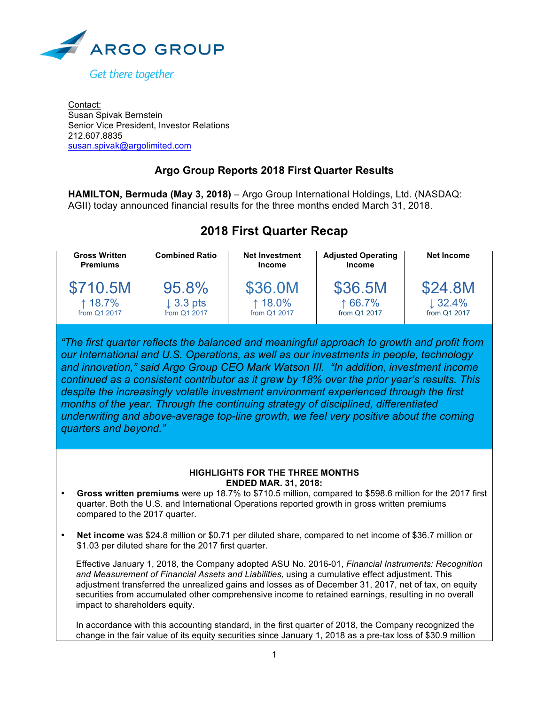

Contact: Susan Spivak Bernstein Senior Vice President, Investor Relations 212.607.8835 susan.spivak@argolimited.com

## **Argo Group Reports 2018 First Quarter Results**

**HAMILTON, Bermuda (May 3, 2018)** – Argo Group International Holdings, Ltd. (NASDAQ: AGII) today announced financial results for the three months ended March 31, 2018.

# **2018 First Quarter Recap**

| <b>Gross Written</b><br><b>Premiums</b> | <b>Combined Ratio</b> | <b>Net Investment</b><br><b>Income</b> | <b>Adjusted Operating</b><br><b>Income</b> | <b>Net Income</b>  |
|-----------------------------------------|-----------------------|----------------------------------------|--------------------------------------------|--------------------|
| \$710.5M                                | 95.8%                 | \$36.0M                                | \$36.5M                                    | \$24.8M            |
| ↑ 18.7%                                 | $\downarrow$ 3.3 pts  | ↑ 18.0%                                | ↑ 66.7%                                    | $\downarrow$ 32.4% |
| from Q1 2017                            | from Q1 2017          | from Q1 2017                           | from Q1 2017                               | from Q1 2017       |

*"The first quarter reflects the balanced and meaningful approach to growth and profit from our International and U.S. Operations, as well as our investments in people, technology and innovation," said Argo Group CEO Mark Watson III. "In addition, investment income continued as a consistent contributor as it grew by 18% over the prior year's results. This despite the increasingly volatile investment environment experienced through the first months of the year. Through the continuing strategy of disciplined, differentiated underwriting and above-average top-line growth, we feel very positive about the coming quarters and beyond."*

#### **HIGHLIGHTS FOR THE THREE MONTHS ENDED MAR. 31, 2018:**

- **Gross written premiums** were up 18.7% to \$710.5 million, compared to \$598.6 million for the 2017 first quarter. Both the U.S. and International Operations reported growth in gross written premiums compared to the 2017 quarter.
- **Net income** was \$24.8 million or \$0.71 per diluted share, compared to net income of \$36.7 million or \$1.03 per diluted share for the 2017 first quarter.

Effective January 1, 2018, the Company adopted ASU No. 2016-01, *Financial Instruments: Recognition and Measurement of Financial Assets and Liabilities,* using a cumulative effect adjustment. This adjustment transferred the unrealized gains and losses as of December 31, 2017, net of tax, on equity securities from accumulated other comprehensive income to retained earnings, resulting in no overall impact to shareholders equity.

In accordance with this accounting standard, in the first quarter of 2018, the Company recognized the change in the fair value of its equity securities since January 1, 2018 as a pre-tax loss of \$30.9 million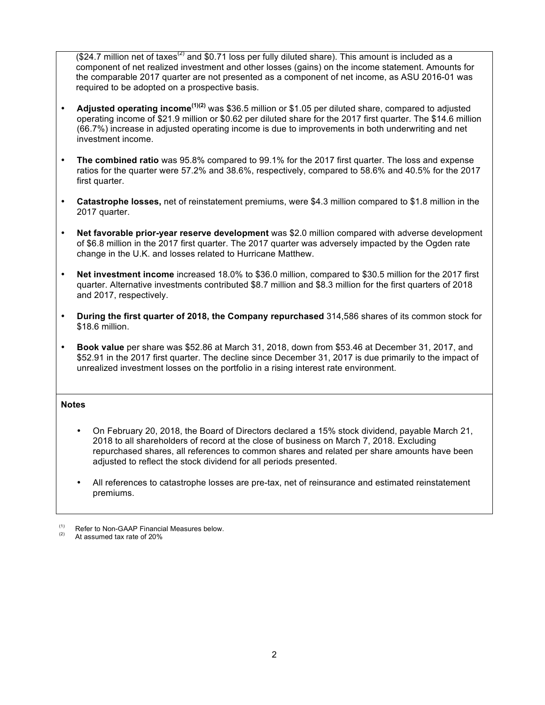(\$24.7 million net of taxes<sup>(2)</sup> and \$0.71 loss per fully diluted share). This amount is included as a component of net realized investment and other losses (gains) on the income statement. Amounts for the comparable 2017 quarter are not presented as a component of net income, as ASU 2016-01 was required to be adopted on a prospective basis.

- **Adjusted operating income(1)(2)** was \$36.5 million or \$1.05 per diluted share, compared to adjusted operating income of \$21.9 million or \$0.62 per diluted share for the 2017 first quarter. The \$14.6 million (66.7%) increase in adjusted operating income is due to improvements in both underwriting and net investment income.
- **The combined ratio** was 95.8% compared to 99.1% for the 2017 first quarter. The loss and expense ratios for the quarter were 57.2% and 38.6%, respectively, compared to 58.6% and 40.5% for the 2017 first quarter.
- **Catastrophe losses,** net of reinstatement premiums, were \$4.3 million compared to \$1.8 million in the 2017 quarter.
- **Net favorable prior-year reserve development** was \$2.0 million compared with adverse development of \$6.8 million in the 2017 first quarter. The 2017 quarter was adversely impacted by the Ogden rate change in the U.K. and losses related to Hurricane Matthew.
- **Net investment income** increased 18.0% to \$36.0 million, compared to \$30.5 million for the 2017 first quarter. Alternative investments contributed \$8.7 million and \$8.3 million for the first quarters of 2018 and 2017, respectively.
- **During the first quarter of 2018, the Company repurchased** 314,586 shares of its common stock for \$18.6 million.
- **Book value** per share was \$52.86 at March 31, 2018, down from \$53.46 at December 31, 2017, and \$52.91 in the 2017 first quarter. The decline since December 31, 2017 is due primarily to the impact of unrealized investment losses on the portfolio in a rising interest rate environment.

#### **Notes**

- On February 20, 2018, the Board of Directors declared a 15% stock dividend, payable March 21, 2018 to all shareholders of record at the close of business on March 7, 2018. Excluding repurchased shares, all references to common shares and related per share amounts have been adjusted to reflect the stock dividend for all periods presented.
- All references to catastrophe losses are pre-tax, net of reinsurance and estimated reinstatement premiums.

<sup>(1)</sup> Refer to Non-GAAP Financial Measures below.<br><sup>(2)</sup> At assumed tax rate of 20%

At assumed tax rate of 20%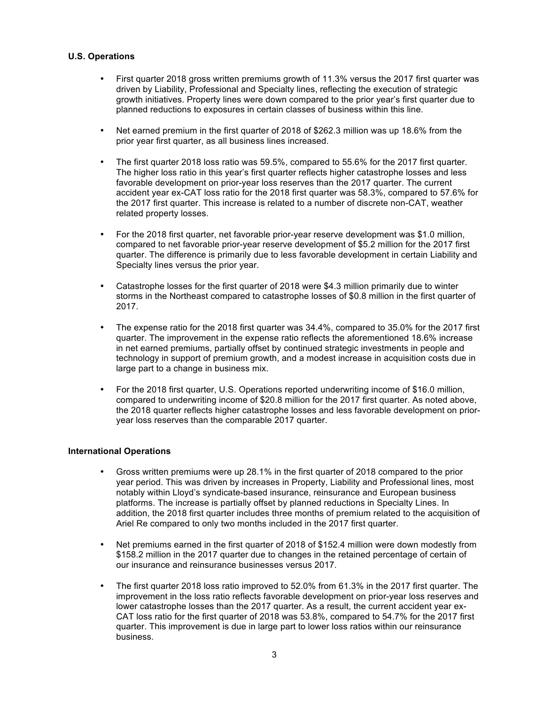#### **U.S. Operations**

- First quarter 2018 gross written premiums growth of 11.3% versus the 2017 first quarter was driven by Liability, Professional and Specialty lines, reflecting the execution of strategic growth initiatives. Property lines were down compared to the prior year's first quarter due to planned reductions to exposures in certain classes of business within this line.
- Net earned premium in the first quarter of 2018 of \$262.3 million was up 18.6% from the prior year first quarter, as all business lines increased.
- The first quarter 2018 loss ratio was 59.5%, compared to 55.6% for the 2017 first quarter. The higher loss ratio in this year's first quarter reflects higher catastrophe losses and less favorable development on prior-year loss reserves than the 2017 quarter. The current accident year ex-CAT loss ratio for the 2018 first quarter was 58.3%, compared to 57.6% for the 2017 first quarter. This increase is related to a number of discrete non-CAT, weather related property losses.
- For the 2018 first quarter, net favorable prior-year reserve development was \$1.0 million, compared to net favorable prior-year reserve development of \$5.2 million for the 2017 first quarter. The difference is primarily due to less favorable development in certain Liability and Specialty lines versus the prior year.
- Catastrophe losses for the first quarter of 2018 were \$4.3 million primarily due to winter storms in the Northeast compared to catastrophe losses of \$0.8 million in the first quarter of 2017.
- The expense ratio for the 2018 first quarter was 34.4%, compared to 35.0% for the 2017 first quarter. The improvement in the expense ratio reflects the aforementioned 18.6% increase in net earned premiums, partially offset by continued strategic investments in people and technology in support of premium growth, and a modest increase in acquisition costs due in large part to a change in business mix.
- For the 2018 first quarter, U.S. Operations reported underwriting income of \$16.0 million, compared to underwriting income of \$20.8 million for the 2017 first quarter. As noted above, the 2018 quarter reflects higher catastrophe losses and less favorable development on prioryear loss reserves than the comparable 2017 quarter.

#### **International Operations**

- Gross written premiums were up 28.1% in the first quarter of 2018 compared to the prior year period. This was driven by increases in Property, Liability and Professional lines, most notably within Lloyd's syndicate-based insurance, reinsurance and European business platforms. The increase is partially offset by planned reductions in Specialty Lines. In addition, the 2018 first quarter includes three months of premium related to the acquisition of Ariel Re compared to only two months included in the 2017 first quarter.
- Net premiums earned in the first quarter of 2018 of \$152.4 million were down modestly from \$158.2 million in the 2017 quarter due to changes in the retained percentage of certain of our insurance and reinsurance businesses versus 2017.
- The first quarter 2018 loss ratio improved to 52.0% from 61.3% in the 2017 first quarter. The improvement in the loss ratio reflects favorable development on prior-year loss reserves and lower catastrophe losses than the 2017 quarter. As a result, the current accident year ex-CAT loss ratio for the first quarter of 2018 was 53.8%, compared to 54.7% for the 2017 first quarter. This improvement is due in large part to lower loss ratios within our reinsurance business.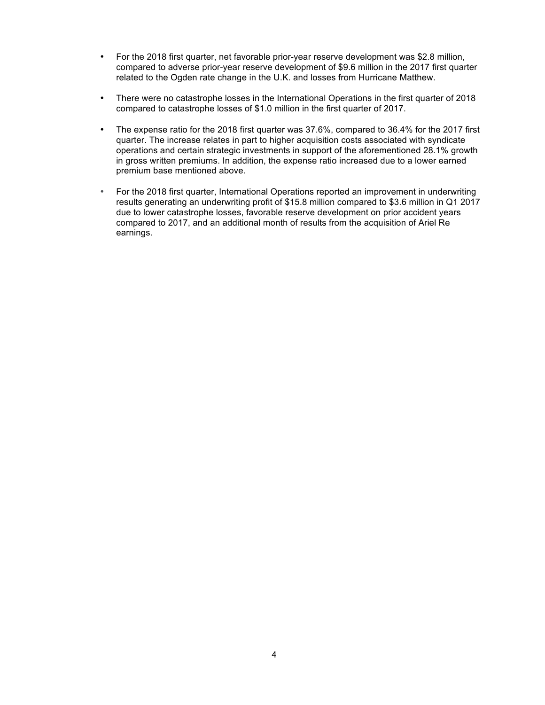- For the 2018 first quarter, net favorable prior-year reserve development was \$2.8 million, compared to adverse prior-year reserve development of \$9.6 million in the 2017 first quarter related to the Ogden rate change in the U.K. and losses from Hurricane Matthew.
- There were no catastrophe losses in the International Operations in the first quarter of 2018 compared to catastrophe losses of \$1.0 million in the first quarter of 2017.
- The expense ratio for the 2018 first quarter was 37.6%, compared to 36.4% for the 2017 first quarter. The increase relates in part to higher acquisition costs associated with syndicate operations and certain strategic investments in support of the aforementioned 28.1% growth in gross written premiums. In addition, the expense ratio increased due to a lower earned premium base mentioned above.
- For the 2018 first quarter, International Operations reported an improvement in underwriting results generating an underwriting profit of \$15.8 million compared to \$3.6 million in Q1 2017 due to lower catastrophe losses, favorable reserve development on prior accident years compared to 2017, and an additional month of results from the acquisition of Ariel Re earnings.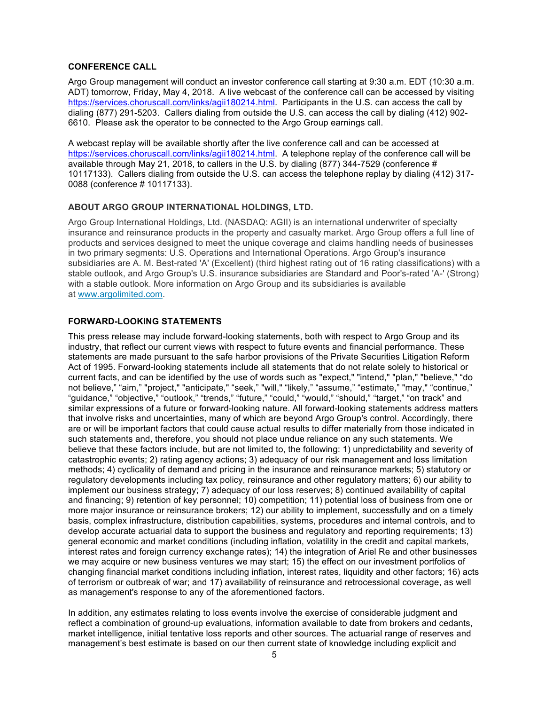#### **CONFERENCE CALL**

Argo Group management will conduct an investor conference call starting at 9:30 a.m. EDT (10:30 a.m. ADT) tomorrow, Friday, May 4, 2018. A live webcast of the conference call can be accessed by visiting https://services.choruscall.com/links/agii180214.html. Participants in the U.S. can access the call by dialing (877) 291-5203. Callers dialing from outside the U.S. can access the call by dialing (412) 902- 6610. Please ask the operator to be connected to the Argo Group earnings call.

A webcast replay will be available shortly after the live conference call and can be accessed at https://services.choruscall.com/links/agii180214.html. A telephone replay of the conference call will be available through May 21, 2018, to callers in the U.S. by dialing (877) 344-7529 (conference # 10117133). Callers dialing from outside the U.S. can access the telephone replay by dialing (412) 317- 0088 (conference # 10117133).

### **ABOUT ARGO GROUP INTERNATIONAL HOLDINGS, LTD.**

Argo Group International Holdings, Ltd. (NASDAQ: AGII) is an international underwriter of specialty insurance and reinsurance products in the property and casualty market. Argo Group offers a full line of products and services designed to meet the unique coverage and claims handling needs of businesses in two primary segments: U.S. Operations and International Operations. Argo Group's insurance subsidiaries are A. M. Best-rated 'A' (Excellent) (third highest rating out of 16 rating classifications) with a stable outlook, and Argo Group's U.S. insurance subsidiaries are Standard and Poor's-rated 'A-' (Strong) with a stable outlook. More information on Argo Group and its subsidiaries is available at www.argolimited.com.

### **FORWARD-LOOKING STATEMENTS**

This press release may include forward-looking statements, both with respect to Argo Group and its industry, that reflect our current views with respect to future events and financial performance. These statements are made pursuant to the safe harbor provisions of the Private Securities Litigation Reform Act of 1995. Forward-looking statements include all statements that do not relate solely to historical or current facts, and can be identified by the use of words such as "expect," "intend," "plan," "believe," "do not believe," "aim," "project," "anticipate," "seek," "will," "likely," "assume," "estimate," "may," "continue," "guidance," "objective," "outlook," "trends," "future," "could," "would," "should," "target," "on track" and similar expressions of a future or forward-looking nature. All forward-looking statements address matters that involve risks and uncertainties, many of which are beyond Argo Group's control. Accordingly, there are or will be important factors that could cause actual results to differ materially from those indicated in such statements and, therefore, you should not place undue reliance on any such statements. We believe that these factors include, but are not limited to, the following: 1) unpredictability and severity of catastrophic events; 2) rating agency actions; 3) adequacy of our risk management and loss limitation methods; 4) cyclicality of demand and pricing in the insurance and reinsurance markets; 5) statutory or regulatory developments including tax policy, reinsurance and other regulatory matters; 6) our ability to implement our business strategy; 7) adequacy of our loss reserves; 8) continued availability of capital and financing; 9) retention of key personnel; 10) competition; 11) potential loss of business from one or more major insurance or reinsurance brokers; 12) our ability to implement, successfully and on a timely basis, complex infrastructure, distribution capabilities, systems, procedures and internal controls, and to develop accurate actuarial data to support the business and regulatory and reporting requirements; 13) general economic and market conditions (including inflation, volatility in the credit and capital markets, interest rates and foreign currency exchange rates); 14) the integration of Ariel Re and other businesses we may acquire or new business ventures we may start; 15) the effect on our investment portfolios of changing financial market conditions including inflation, interest rates, liquidity and other factors; 16) acts of terrorism or outbreak of war; and 17) availability of reinsurance and retrocessional coverage, as well as management's response to any of the aforementioned factors.

In addition, any estimates relating to loss events involve the exercise of considerable judgment and reflect a combination of ground-up evaluations, information available to date from brokers and cedants, market intelligence, initial tentative loss reports and other sources. The actuarial range of reserves and management's best estimate is based on our then current state of knowledge including explicit and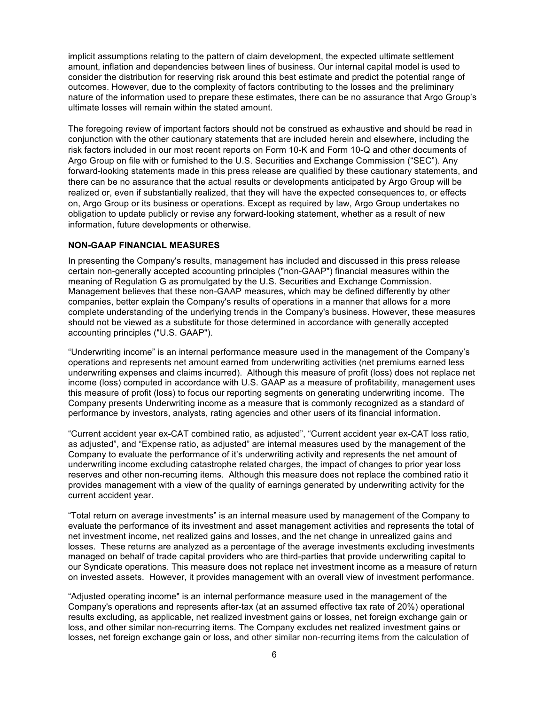implicit assumptions relating to the pattern of claim development, the expected ultimate settlement amount, inflation and dependencies between lines of business. Our internal capital model is used to consider the distribution for reserving risk around this best estimate and predict the potential range of outcomes. However, due to the complexity of factors contributing to the losses and the preliminary nature of the information used to prepare these estimates, there can be no assurance that Argo Group's ultimate losses will remain within the stated amount.

The foregoing review of important factors should not be construed as exhaustive and should be read in conjunction with the other cautionary statements that are included herein and elsewhere, including the risk factors included in our most recent reports on Form 10-K and Form 10-Q and other documents of Argo Group on file with or furnished to the U.S. Securities and Exchange Commission ("SEC"). Any forward-looking statements made in this press release are qualified by these cautionary statements, and there can be no assurance that the actual results or developments anticipated by Argo Group will be realized or, even if substantially realized, that they will have the expected consequences to, or effects on, Argo Group or its business or operations. Except as required by law, Argo Group undertakes no obligation to update publicly or revise any forward-looking statement, whether as a result of new information, future developments or otherwise.

#### **NON-GAAP FINANCIAL MEASURES**

In presenting the Company's results, management has included and discussed in this press release certain non-generally accepted accounting principles ("non-GAAP") financial measures within the meaning of Regulation G as promulgated by the U.S. Securities and Exchange Commission. Management believes that these non-GAAP measures, which may be defined differently by other companies, better explain the Company's results of operations in a manner that allows for a more complete understanding of the underlying trends in the Company's business. However, these measures should not be viewed as a substitute for those determined in accordance with generally accepted accounting principles ("U.S. GAAP").

"Underwriting income" is an internal performance measure used in the management of the Company's operations and represents net amount earned from underwriting activities (net premiums earned less underwriting expenses and claims incurred). Although this measure of profit (loss) does not replace net income (loss) computed in accordance with U.S. GAAP as a measure of profitability, management uses this measure of profit (loss) to focus our reporting segments on generating underwriting income. The Company presents Underwriting income as a measure that is commonly recognized as a standard of performance by investors, analysts, rating agencies and other users of its financial information.

"Current accident year ex-CAT combined ratio, as adjusted", "Current accident year ex-CAT loss ratio, as adjusted", and "Expense ratio, as adjusted" are internal measures used by the management of the Company to evaluate the performance of it's underwriting activity and represents the net amount of underwriting income excluding catastrophe related charges, the impact of changes to prior year loss reserves and other non-recurring items. Although this measure does not replace the combined ratio it provides management with a view of the quality of earnings generated by underwriting activity for the current accident year.

"Total return on average investments" is an internal measure used by management of the Company to evaluate the performance of its investment and asset management activities and represents the total of net investment income, net realized gains and losses, and the net change in unrealized gains and losses. These returns are analyzed as a percentage of the average investments excluding investments managed on behalf of trade capital providers who are third-parties that provide underwriting capital to our Syndicate operations. This measure does not replace net investment income as a measure of return on invested assets. However, it provides management with an overall view of investment performance.

"Adjusted operating income" is an internal performance measure used in the management of the Company's operations and represents after-tax (at an assumed effective tax rate of 20%) operational results excluding, as applicable, net realized investment gains or losses, net foreign exchange gain or loss, and other similar non-recurring items. The Company excludes net realized investment gains or losses, net foreign exchange gain or loss, and other similar non-recurring items from the calculation of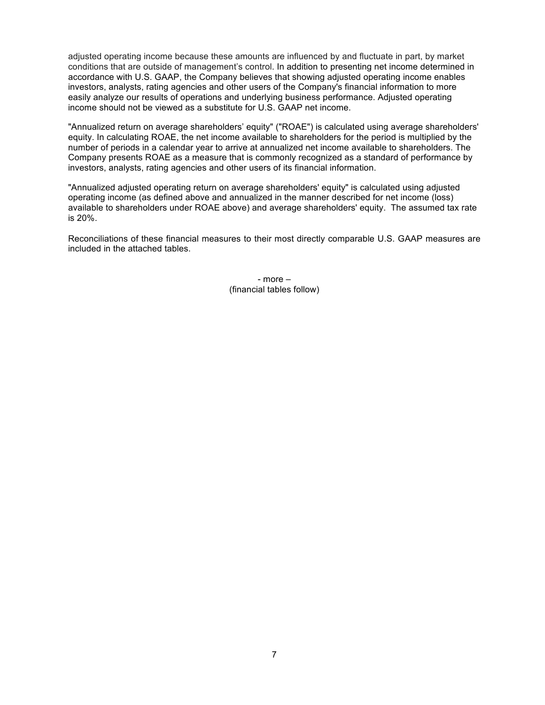adjusted operating income because these amounts are influenced by and fluctuate in part, by market conditions that are outside of management's control. In addition to presenting net income determined in accordance with U.S. GAAP, the Company believes that showing adjusted operating income enables investors, analysts, rating agencies and other users of the Company's financial information to more easily analyze our results of operations and underlying business performance. Adjusted operating income should not be viewed as a substitute for U.S. GAAP net income.

"Annualized return on average shareholders' equity" ("ROAE") is calculated using average shareholders' equity. In calculating ROAE, the net income available to shareholders for the period is multiplied by the number of periods in a calendar year to arrive at annualized net income available to shareholders. The Company presents ROAE as a measure that is commonly recognized as a standard of performance by investors, analysts, rating agencies and other users of its financial information.

"Annualized adjusted operating return on average shareholders' equity" is calculated using adjusted operating income (as defined above and annualized in the manner described for net income (loss) available to shareholders under ROAE above) and average shareholders' equity. The assumed tax rate is 20%.

Reconciliations of these financial measures to their most directly comparable U.S. GAAP measures are included in the attached tables.

> - more – (financial tables follow)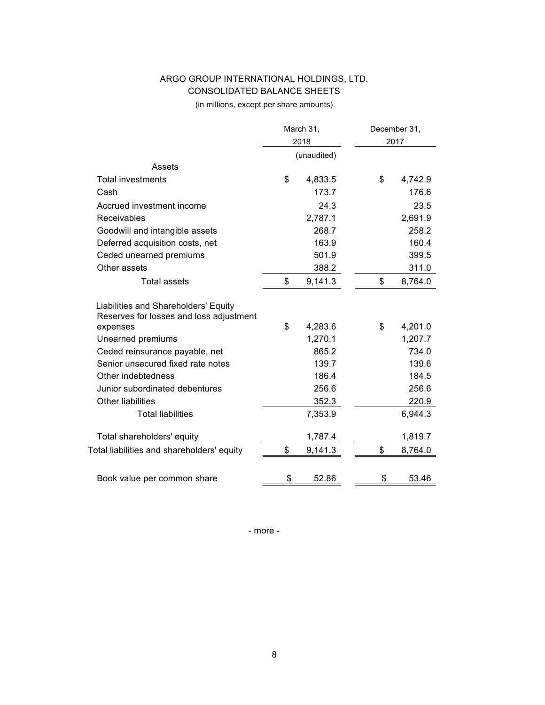## ARGO GROUP INTERNATIONAL HOLDINGS, LTD. CONSOLIDATED BALANCE SHEETS

(in millions, except per share amounts)

|                                                                                 | March 31, |             | December 31,  |
|---------------------------------------------------------------------------------|-----------|-------------|---------------|
|                                                                                 |           | 2018        | 2017          |
|                                                                                 |           | (unaudited) |               |
| Assets                                                                          |           |             |               |
| <b>Total investments</b>                                                        | \$        | 4,833.5     | \$<br>4,742.9 |
| Cash                                                                            |           | 173.7       | 176.6         |
| Accrued investment income                                                       |           | 24.3        | 23.5          |
| Receivables                                                                     |           | 2,787.1     | 2,691.9       |
| Goodwill and intangible assets                                                  |           | 268.7       | 258.2         |
| Deferred acquisition costs, net                                                 |           | 163.9       | 160.4         |
| Ceded unearned premiums                                                         |           | 501.9       | 399.5         |
| Other assets                                                                    |           | 388.2       | 311.0         |
| <b>Total assets</b>                                                             | \$        | 9,141.3     | \$<br>8,764.0 |
| Liabilities and Shareholders' Equity<br>Reserves for losses and loss adjustment |           |             |               |
| expenses                                                                        | \$        | 4,283.6     | \$<br>4,201.0 |
| Unearned premiums                                                               |           | 1,270.1     | 1,207.7       |
| Ceded reinsurance payable, net                                                  |           | 865.2       | 734.0         |
| Senior unsecured fixed rate notes                                               |           | 139.7       | 139.6         |
| Other indebtedness                                                              |           | 186.4       | 184.5         |
| Junior subordinated debentures                                                  |           | 256.6       | 256.6         |
| <b>Other liabilities</b>                                                        |           | 352.3       | 220.9         |
| <b>Total liabilities</b>                                                        |           | 7,353.9     | 6,944.3       |
| Total shareholders' equity                                                      |           | 1,787.4     | 1,819.7       |
| Total liabilities and shareholders' equity                                      | \$        | 9,141.3     | \$<br>8,764.0 |
| Book value per common share                                                     | \$        | 52.86       | \$<br>53.46   |
|                                                                                 |           |             |               |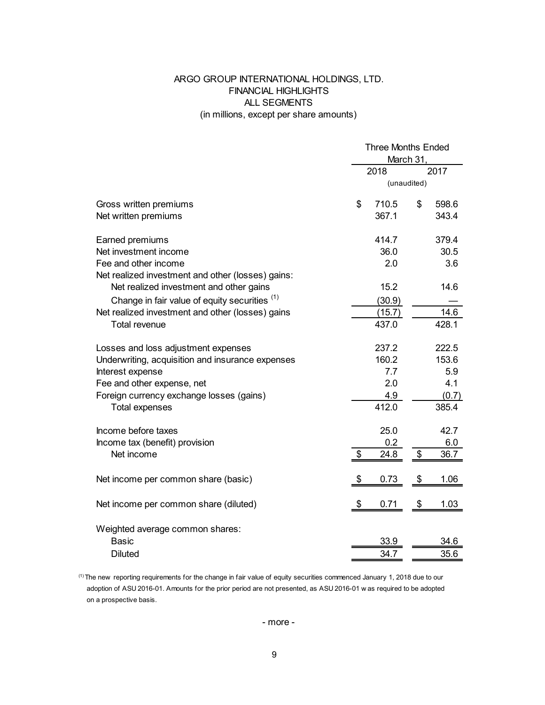## ARGO GROUP INTERNATIONAL HOLDINGS, LTD. FINANCIAL HIGHLIGHTS ALL SEGMENTS (in millions, except per share amounts)

|                                                   | <b>Three Months Ended</b><br>March 31, |              |                |       |  |  |  |  |
|---------------------------------------------------|----------------------------------------|--------------|----------------|-------|--|--|--|--|
|                                                   |                                        | 2018<br>2017 |                |       |  |  |  |  |
|                                                   |                                        | (unaudited)  |                |       |  |  |  |  |
| Gross written premiums                            | \$                                     | 710.5        | \$             | 598.6 |  |  |  |  |
| Net written premiums                              |                                        | 367.1        |                | 343.4 |  |  |  |  |
| Earned premiums                                   |                                        | 414.7        |                | 379.4 |  |  |  |  |
| Net investment income                             |                                        | 36.0         |                | 30.5  |  |  |  |  |
| Fee and other income                              |                                        | 2.0          |                | 3.6   |  |  |  |  |
| Net realized investment and other (losses) gains: |                                        |              |                |       |  |  |  |  |
| Net realized investment and other gains           |                                        | 15.2         |                | 14.6  |  |  |  |  |
| Change in fair value of equity securities (1)     |                                        | (30.9)       |                |       |  |  |  |  |
| Net realized investment and other (losses) gains  |                                        | (15.7)       |                | 14.6  |  |  |  |  |
| <b>Total revenue</b>                              |                                        | 437.0        |                | 428.1 |  |  |  |  |
| Losses and loss adjustment expenses               |                                        | 237.2        |                | 222.5 |  |  |  |  |
| Underwriting, acquisition and insurance expenses  |                                        | 160.2        |                | 153.6 |  |  |  |  |
| Interest expense                                  |                                        | 7.7          |                | 5.9   |  |  |  |  |
| Fee and other expense, net                        |                                        | 2.0          |                | 4.1   |  |  |  |  |
| Foreign currency exchange losses (gains)          |                                        | 4.9          |                | (0.7) |  |  |  |  |
| <b>Total expenses</b>                             |                                        | 412.0        |                | 385.4 |  |  |  |  |
| Income before taxes                               |                                        | 25.0         |                | 42.7  |  |  |  |  |
| Income tax (benefit) provision                    |                                        | 0.2          |                | 6.0   |  |  |  |  |
| Net income                                        | $\mathbb{S}$                           | 24.8         | $\mathfrak{S}$ | 36.7  |  |  |  |  |
| Net income per common share (basic)               | \$                                     | 0.73         | \$             | 1.06  |  |  |  |  |
| Net income per common share (diluted)             | \$                                     | 0.71         | \$             | 1.03  |  |  |  |  |
| Weighted average common shares:                   |                                        |              |                |       |  |  |  |  |
| <b>Basic</b>                                      |                                        | 33.9         |                | 34.6  |  |  |  |  |
| <b>Diluted</b>                                    |                                        | 34.7         |                | 35.6  |  |  |  |  |

(1) The new reporting requirements for the change in fair value of equity securities commenced January 1, 2018 due to our adoption of ASU 2016-01. Amounts for the prior period are not presented, as ASU 2016-01 w as required to be adopted on a prospective basis.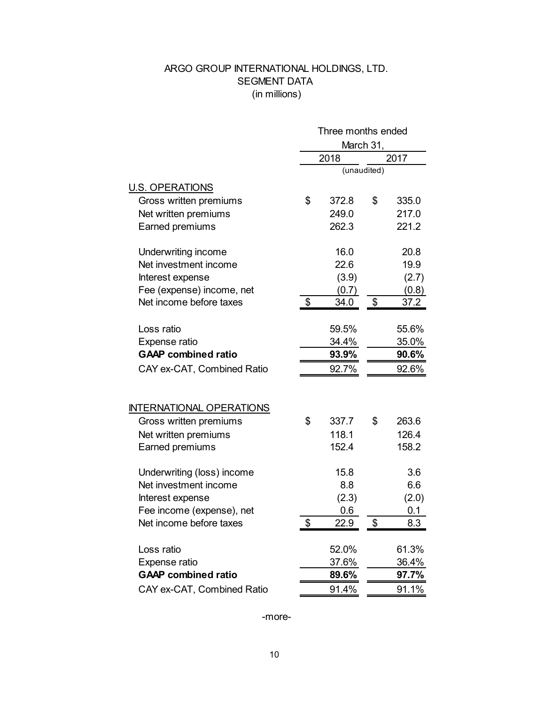## ARGO GROUP INTERNATIONAL HOLDINGS, LTD. SEGMENT DATA (in millions)

|                                 | Three months ended |             |       |             |  |  |  |  |
|---------------------------------|--------------------|-------------|-------|-------------|--|--|--|--|
|                                 |                    | March 31,   |       |             |  |  |  |  |
|                                 |                    | 2018        |       | 2017        |  |  |  |  |
|                                 |                    | (unaudited) |       |             |  |  |  |  |
| <b>U.S. OPERATIONS</b>          |                    |             |       |             |  |  |  |  |
| Gross written premiums          | \$                 | 372.8       | \$    | 335.0       |  |  |  |  |
| Net written premiums            |                    | 249.0       |       | 217.0       |  |  |  |  |
| Earned premiums                 |                    | 262.3       |       | 221.2       |  |  |  |  |
| Underwriting income             |                    | 16.0        |       | 20.8        |  |  |  |  |
| Net investment income           |                    | 22.6        |       | 19.9        |  |  |  |  |
| Interest expense                |                    | (3.9)       |       | (2.7)       |  |  |  |  |
| Fee (expense) income, net       |                    | (0.7)       |       | (0.8)       |  |  |  |  |
| Net income before taxes         | \$                 | 34.0        | \$    | <u>37.2</u> |  |  |  |  |
|                                 |                    |             |       |             |  |  |  |  |
| Loss ratio                      |                    | 59.5%       |       | 55.6%       |  |  |  |  |
| Expense ratio                   |                    | 34.4%       |       | 35.0%       |  |  |  |  |
| <b>GAAP</b> combined ratio      |                    | 93.9%       | 90.6% |             |  |  |  |  |
| CAY ex-CAT, Combined Ratio      |                    | 92.7%       |       | 92.6%       |  |  |  |  |
|                                 |                    |             |       |             |  |  |  |  |
| <b>INTERNATIONAL OPERATIONS</b> |                    |             |       |             |  |  |  |  |
| Gross written premiums          | \$                 | 337.7       | \$    | 263.6       |  |  |  |  |
| Net written premiums            |                    | 118.1       |       | 126.4       |  |  |  |  |
| Earned premiums                 |                    | 152.4       |       | 158.2       |  |  |  |  |
| Underwriting (loss) income      |                    | 15.8        |       | 3.6         |  |  |  |  |
| Net investment income           |                    | 8.8         |       | 6.6         |  |  |  |  |
| Interest expense                |                    | (2.3)       |       | (2.0)       |  |  |  |  |
| Fee income (expense), net       |                    | 0.6         |       | 0.1         |  |  |  |  |
| Net income before taxes         | \$                 | 22.9        | \$    | 8.3         |  |  |  |  |
| Loss ratio                      |                    | 52.0%       |       | 61.3%       |  |  |  |  |
| <b>Expense ratio</b>            |                    | 37.6%       |       | 36.4%       |  |  |  |  |
| <b>GAAP</b> combined ratio      |                    | 89.6%       |       | 97.7%       |  |  |  |  |
| CAY ex-CAT, Combined Ratio      |                    | 91.4%       |       | 91.1%       |  |  |  |  |

-more-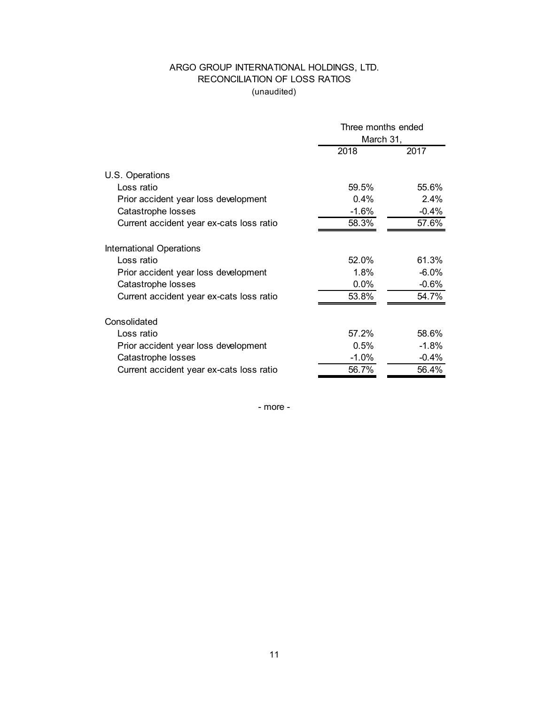## ARGO GROUP INTERNATIONAL HOLDINGS, LTD. RECONCILIATION OF LOSS RATIOS (unaudited)

|                                          |           | Three months ended |  |  |  |
|------------------------------------------|-----------|--------------------|--|--|--|
|                                          | March 31, |                    |  |  |  |
|                                          | 2018      | 2017               |  |  |  |
| U.S. Operations                          |           |                    |  |  |  |
| Loss ratio                               | 59.5%     | 55.6%              |  |  |  |
| Prior accident year loss development     | 0.4%      | 2.4%               |  |  |  |
| Catastrophe losses                       | $-1.6%$   | $-0.4%$            |  |  |  |
| Current accident year ex-cats loss ratio | 58.3%     | 57.6%              |  |  |  |
| <b>International Operations</b>          |           |                    |  |  |  |
| Loss ratio                               | 52.0%     | 61.3%              |  |  |  |
| Prior accident year loss development     | 1.8%      | $-6.0\%$           |  |  |  |
| Catastrophe losses                       | 0.0%      | $-0.6%$            |  |  |  |
| Current accident year ex-cats loss ratio | 53.8%     | 54.7%              |  |  |  |
| Consolidated                             |           |                    |  |  |  |
| Loss ratio                               | 57.2%     | 58.6%              |  |  |  |
| Prior accident year loss development     | 0.5%      | $-1.8%$            |  |  |  |
| Catastrophe losses                       | $-1.0%$   | $-0.4%$            |  |  |  |
| Current accident year ex-cats loss ratio | 56.7%     | 56.4%              |  |  |  |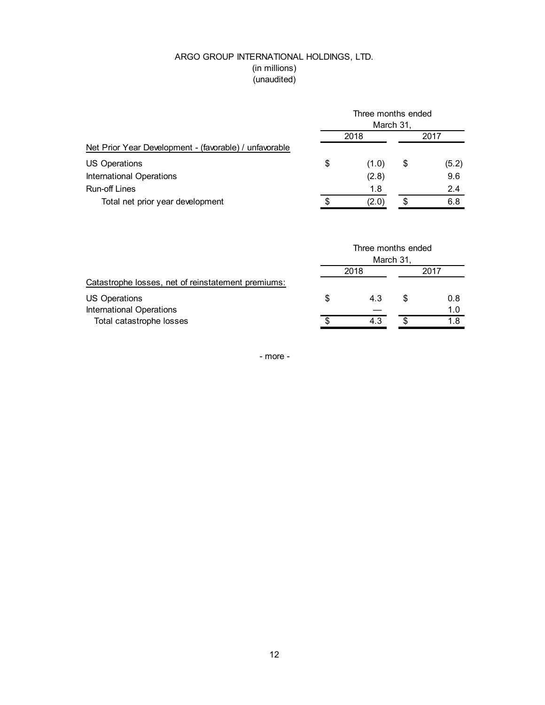## (in millions) ARGO GROUP INTERNATIONAL HOLDINGS, LTD. (unaudited)

|                                                        | Three months ended<br>March 31, |       |    |       |  |  |  |
|--------------------------------------------------------|---------------------------------|-------|----|-------|--|--|--|
|                                                        |                                 | 2018  |    | 2017  |  |  |  |
| Net Prior Year Development - (favorable) / unfavorable |                                 |       |    |       |  |  |  |
| <b>US Operations</b>                                   | \$                              | (1.0) | \$ | (5.2) |  |  |  |
| International Operations                               |                                 | (2.8) |    | 9.6   |  |  |  |
| <b>Run-off Lines</b>                                   |                                 | 1.8   |    | 2.4   |  |  |  |
| Total net prior year development                       | S                               | (2.0) |    | 6.8   |  |  |  |

|                                                    | Three months ended<br>March 31, |      |   |      |  |  |  |
|----------------------------------------------------|---------------------------------|------|---|------|--|--|--|
|                                                    |                                 | 2018 |   | 2017 |  |  |  |
| Catastrophe losses, net of reinstatement premiums: |                                 |      |   |      |  |  |  |
| <b>US Operations</b>                               | S                               | 4.3  | S | 0.8  |  |  |  |
| International Operations                           |                                 |      |   | 1.0  |  |  |  |
| Total catastrophe losses                           | S                               | 4.3  |   | 1.8  |  |  |  |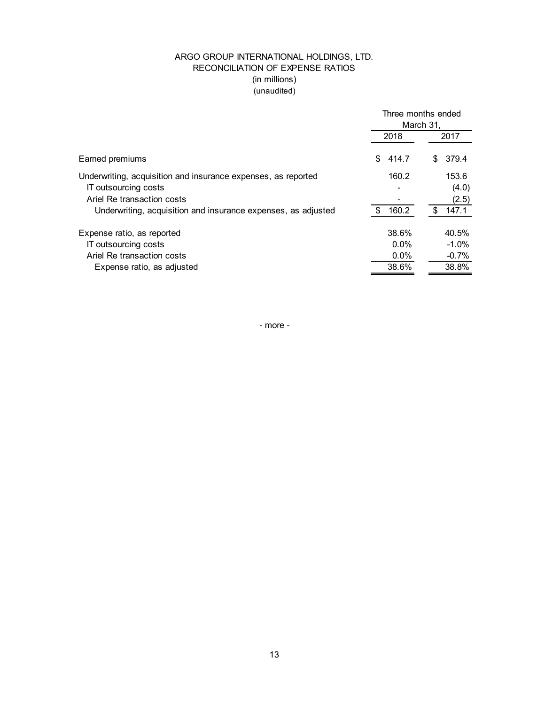## ARGO GROUP INTERNATIONAL HOLDINGS, LTD. RECONCILIATION OF EXPENSE RATIOS (in millions) (unaudited)

|                                                               |     | March 31. | Three months ended |                |  |
|---------------------------------------------------------------|-----|-----------|--------------------|----------------|--|
|                                                               |     | 2018      | 2017               |                |  |
| Earned premiums                                               | \$. | 414.7     | \$                 | 379.4          |  |
| Underwriting, acquisition and insurance expenses, as reported |     | 160.2     |                    | 153.6          |  |
| IT outsourcing costs<br>Ariel Re transaction costs            |     |           |                    | (4.0)<br>(2.5) |  |
| Underwriting, acquisition and insurance expenses, as adjusted | \$. | 160.2     | \$                 | 147.1          |  |
| Expense ratio, as reported                                    |     | 38.6%     |                    | 40.5%          |  |
| IT outsourcing costs                                          |     | $0.0\%$   |                    | $-1.0%$        |  |
| Ariel Re transaction costs                                    |     | $0.0\%$   |                    | $-0.7\%$       |  |
| Expense ratio, as adjusted                                    |     | 38.6%     |                    | 38.8%          |  |
|                                                               |     |           |                    |                |  |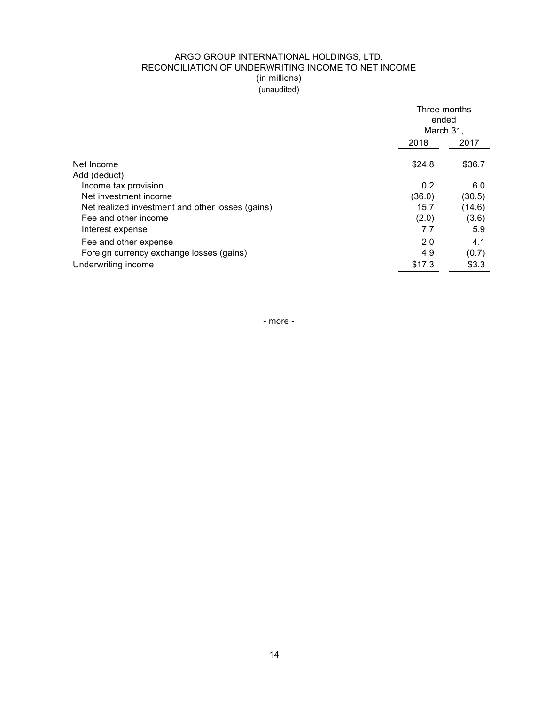### ARGO GROUP INTERNATIONAL HOLDINGS, LTD. RECONCILIATION OF UNDERWRITING INCOME TO NET INCOME (in millions) (unaudited)

|                                                  | Three months<br>ended |        |
|--------------------------------------------------|-----------------------|--------|
|                                                  | March 31,             |        |
|                                                  | 2018                  | 2017   |
| Net Income                                       | \$24.8                | \$36.7 |
| Add (deduct):                                    |                       |        |
| Income tax provision                             | 0.2                   | 6.0    |
| Net investment income                            | (36.0)                | (30.5) |
| Net realized investment and other losses (gains) | 15.7                  | (14.6) |
| Fee and other income                             | (2.0)                 | (3.6)  |
| Interest expense                                 | 7.7                   | 5.9    |
| Fee and other expense                            | 2.0                   | 4.1    |
| Foreign currency exchange losses (gains)         | 4.9                   | (0.7)  |
| Underwriting income                              | \$17.3                | \$3.3  |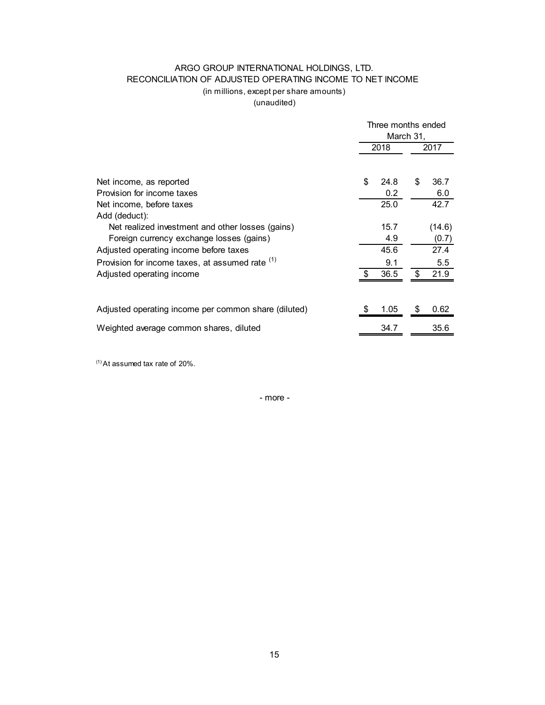### ARGO GROUP INTERNATIONAL HOLDINGS, LTD. RECONCILIATION OF ADJUSTED OPERATING INCOME TO NET INCOME (in millions, except per share amounts) (unaudited)

2018 2017 Net income, as reported  $\frac{1}{2}$  8  $\frac{24.8}{36.7}$ Provision for income taxes 6.0 Net income, before taxes 25.0 42.7 Add (deduct): Net realized investment and other losses (gains) 15.7 (14.6) Foreign currency exchange losses (gains) 4.9 (0.7) Adjusted operating income before taxes 45.6 27.4 Provision for income taxes, at assumed rate  $(1)$  9.1 5.5 Adjusted operating income  $\frac{1}{3}$  36.5  $\frac{1}{3}$  36.5  $\frac{1}{3}$  21.9 Adjusted operating income per common share (diluted)  $$ 1.05 $ 0.62$ Weighted average common shares, diluted 34.7 35.6 Three months ended March 31,

(1) At assumed tax rate of 20%.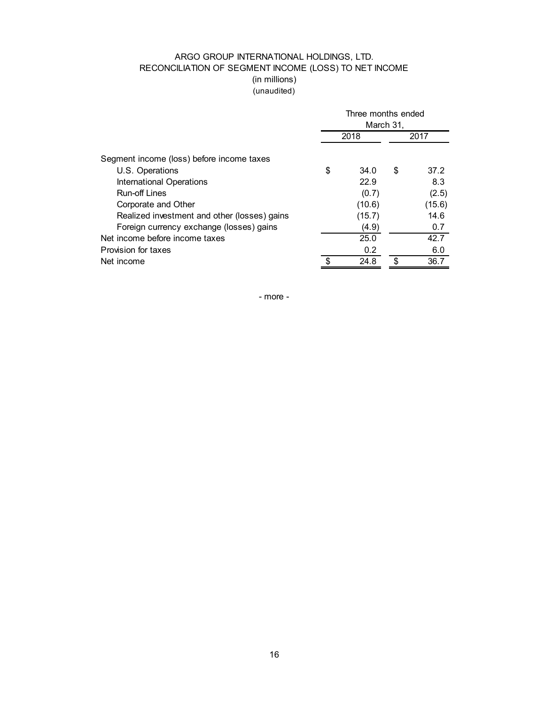## ARGO GROUP INTERNATIONAL HOLDINGS, LTD. RECONCILIATION OF SEGMENT INCOME (LOSS) TO NET INCOME (in millions)

(unaudited)

|                                              |      | Three months ended<br>March 31, |     |        |  |  |  |
|----------------------------------------------|------|---------------------------------|-----|--------|--|--|--|
|                                              | 2018 |                                 |     | 2017   |  |  |  |
| Segment income (loss) before income taxes    |      |                                 |     |        |  |  |  |
| U.S. Operations                              | \$   | 34.0                            | S   | 37.2   |  |  |  |
| <b>International Operations</b>              |      | 22.9                            |     | 8.3    |  |  |  |
| Run-off Lines                                |      | (0.7)                           |     | (2.5)  |  |  |  |
| Corporate and Other                          |      | (10.6)                          |     | (15.6) |  |  |  |
| Realized investment and other (losses) gains |      | (15.7)                          |     | 14.6   |  |  |  |
| Foreign currency exchange (losses) gains     |      | (4.9)                           |     | 0.7    |  |  |  |
| Net income before income taxes               |      | 25.0                            |     | 42.7   |  |  |  |
| Provision for taxes                          |      | 0.2                             |     | 6.0    |  |  |  |
| Net income                                   | \$   | 24.8                            | \$. | 36.7   |  |  |  |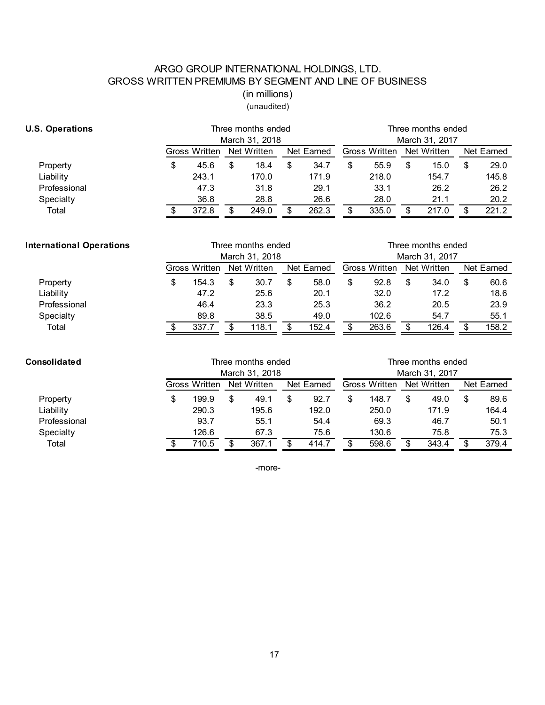## ARGO GROUP INTERNATIONAL HOLDINGS, LTD. GROSS WRITTEN PREMIUMS BY SEGMENT AND LINE OF BUSINESS (in millions) (unaudited)

| <b>U.S. Operations</b> | Three months ended<br>March 31, 2018 |  |             |    |            |    |                      | Three months ended<br>March 31, 2017 |             |   |            |  |  |
|------------------------|--------------------------------------|--|-------------|----|------------|----|----------------------|--------------------------------------|-------------|---|------------|--|--|
|                        | Gross Written                        |  | Net Written |    | Net Earned |    | <b>Gross Written</b> |                                      | Net Written |   | Net Earned |  |  |
| Property               | \$<br>45.6                           |  | 18.4        | \$ | 34.7       | \$ | 55.9                 |                                      | 15.0        | S | 29.0       |  |  |
| Liability              | 243.1                                |  | 170.0       |    | 171.9      |    | 218.0                |                                      | 154.7       |   | 145.8      |  |  |
| Professional           | 47.3                                 |  | 31.8        |    | 29.1       |    | 33.1                 |                                      | 26.2        |   | 26.2       |  |  |
| Specialty              | 36.8                                 |  | 28.8        |    | 26.6       |    | 28.0                 |                                      | 21.1        |   | 20.2       |  |  |
| Total                  | 372.8                                |  | 249.0       | \$ | 262.3      | \$ | 335.0                |                                      | 217.0       |   | 221.2      |  |  |

| <b>International Operations</b> | Three months ended |               |    |                |    |            | Three months ended |               |    |                |    |            |
|---------------------------------|--------------------|---------------|----|----------------|----|------------|--------------------|---------------|----|----------------|----|------------|
|                                 |                    |               |    | March 31, 2018 |    |            |                    |               |    | March 31, 2017 |    |            |
|                                 |                    | Gross Written |    | Net Written    |    | Net Earned |                    | Gross Written |    | Net Written    |    | Net Earned |
| Property                        | \$                 | 154.3         | \$ | 30.7           | \$ | 58.0       | \$                 | 92.8          | \$ | 34.0           | \$ | 60.6       |
| Liability                       |                    | 47.2          |    | 25.6           |    | 20.1       |                    | 32.0          |    | 17.2           |    | 18.6       |
| Professional                    |                    | 46.4          |    | 23.3           |    | 25.3       |                    | 36.2          |    | 20.5           |    | 23.9       |
| Specialty                       |                    | 89.8          |    | 38.5           |    | 49.0       |                    | 102.6         |    | 54.7           |    | 55.1       |
| Total                           |                    | 337.7         |    | 118.1          | S  | 152.4      | \$                 | 263.6         |    | 126.4          | \$ | 158.2      |

| Consolidated |               | Three months ended<br>March 31, 2018 |             |       |            |       |               | Three months ended<br>March 31, 2017 |             |       |            |       |
|--------------|---------------|--------------------------------------|-------------|-------|------------|-------|---------------|--------------------------------------|-------------|-------|------------|-------|
|              | Gross Written |                                      | Net Written |       | Net Earned |       | Gross Written |                                      | Net Written |       | Net Earned |       |
| Property     | \$            | 199.9                                | \$          | 49.1  | \$         | 92.7  | \$            | 148.7                                |             | 49.0  | \$         | 89.6  |
| Liability    |               | 290.3                                |             | 195.6 |            | 192.0 |               | 250.0                                |             | 171.9 |            | 164.4 |
| Professional |               | 93.7                                 |             | 55.1  |            | 54.4  |               | 69.3                                 |             | 46.7  |            | 50.1  |
| Specialty    |               | 126.6                                |             | 67.3  |            | 75.6  |               | 130.6                                |             | 75.8  |            | 75.3  |
| Total        |               | 710.5                                |             | 367.1 | S          | 414.7 |               | 598.6                                |             | 343.4 | \$.        | 379.4 |

-more-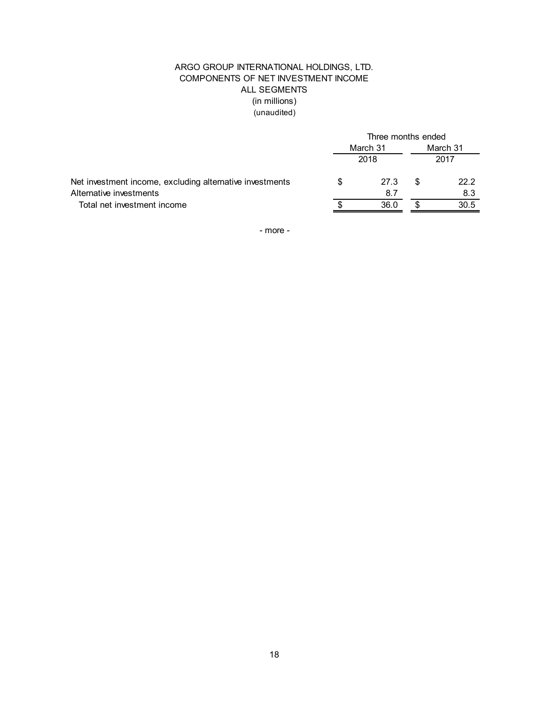## ARGO GROUP INTERNATIONAL HOLDINGS, LTD. COMPONENTS OF NET INVESTMENT INCOME ALL SEGMENTS (in millions) (unaudited)

|                                                          | Three months ended |                  |      |  |  |
|----------------------------------------------------------|--------------------|------------------|------|--|--|
|                                                          | March 31           | March 31<br>2017 |      |  |  |
|                                                          | 2018               |                  |      |  |  |
| Net investment income, excluding alternative investments | 27.3               |                  | 22.2 |  |  |
| Alternative investments                                  | 8.7                |                  | 8.3  |  |  |
| Total net investment income                              | 36.0               |                  | 30.5 |  |  |